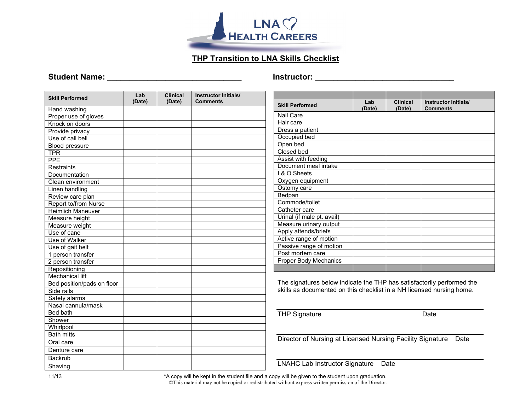

## **THP Transition to LNA Skills Checklist**

#### **Student Name: \_\_\_\_\_\_\_\_\_\_\_\_\_\_\_\_\_\_\_\_\_\_\_\_\_\_\_\_\_\_ Instructor: \_\_\_\_\_\_\_\_\_\_\_\_\_\_\_\_\_\_\_\_\_\_\_\_\_\_\_\_\_\_\_**

| <b>Skill Performed</b>      | Lab<br>(Date) | <b>Clinical</b><br>(Date) | <b>Instructor Initials/</b><br><b>Comments</b> |
|-----------------------------|---------------|---------------------------|------------------------------------------------|
| Hand washing                |               |                           |                                                |
| Proper use of gloves        |               |                           |                                                |
| Knock on doors              |               |                           |                                                |
| Provide privacy             |               |                           |                                                |
| Use of call bell            |               |                           |                                                |
| <b>Blood pressure</b>       |               |                           |                                                |
| <b>TPR</b>                  |               |                           |                                                |
| <b>PPE</b>                  |               |                           |                                                |
| <b>Restraints</b>           |               |                           |                                                |
| Documentation               |               |                           |                                                |
| Clean environment           |               |                           |                                                |
| Linen handling              |               |                           |                                                |
| Review care plan            |               |                           |                                                |
| <b>Report to/from Nurse</b> |               |                           |                                                |
| <b>Heimlich Maneuver</b>    |               |                           |                                                |
| Measure height              |               |                           |                                                |
| Measure weight              |               |                           |                                                |
| Use of cane                 |               |                           |                                                |
| Use of Walker               |               |                           |                                                |
| Use of gait belt            |               |                           |                                                |
| 1 person transfer           |               |                           |                                                |
| 2 person transfer           |               |                           |                                                |
| Repositioning               |               |                           |                                                |
| <b>Mechanical lift</b>      |               |                           |                                                |
| Bed position/pads on floor  |               |                           |                                                |
| Side rails                  |               |                           |                                                |
| Safety alarms               |               |                           |                                                |
| Nasal cannula/mask          |               |                           |                                                |
| Bed bath                    |               |                           |                                                |
| Shower                      |               |                           |                                                |
| Whirlpool                   |               |                           |                                                |
| <b>Bath mitts</b>           |               |                           |                                                |
| Oral care                   |               |                           |                                                |
| Denture care                |               |                           |                                                |
| <b>Backrub</b>              |               |                           |                                                |
| Shaving                     |               |                           |                                                |

| <b>Skill Performed</b>       | Lab<br>(Date) | <b>Clinical</b><br>(Date) | Instructor Initials/<br><b>Comments</b> |
|------------------------------|---------------|---------------------------|-----------------------------------------|
| <b>Nail Care</b>             |               |                           |                                         |
| Hair care                    |               |                           |                                         |
| Dress a patient              |               |                           |                                         |
| Occupied bed                 |               |                           |                                         |
| Open bed                     |               |                           |                                         |
| Closed bed                   |               |                           |                                         |
| Assist with feeding          |               |                           |                                         |
| Document meal intake         |               |                           |                                         |
| I & O Sheets                 |               |                           |                                         |
| Oxygen equipment             |               |                           |                                         |
| Ostomy care                  |               |                           |                                         |
| Bedpan                       |               |                           |                                         |
| Commode/toilet               |               |                           |                                         |
| Catheter care                |               |                           |                                         |
| Urinal (if male pt. avail)   |               |                           |                                         |
| Measure urinary output       |               |                           |                                         |
| Apply attends/briefs         |               |                           |                                         |
| Active range of motion       |               |                           |                                         |
| Passive range of motion      |               |                           |                                         |
| Post mortem care             |               |                           |                                         |
| <b>Proper Body Mechanics</b> |               |                           |                                         |
|                              |               |                           |                                         |

The signatures below indicate the THP has satisfactorily performed the skills as documented on this checklist in a NH licensed nursing home.

THP Signature Date

Director of Nursing at Licensed Nursing Facility Signature Date

LNAHC Lab Instructor Signature Date

11/13 \*A copy will be kept in the student file and a copy will be given to the student upon graduation. ©This material may not be copied or redistributed without express written permission of the Director.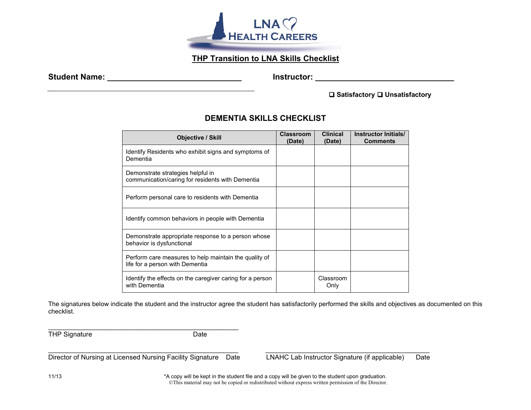

### **THP Transition to LNA Skills Checklist**

Student Name: **Example 2018** and 2019 and 2019 and 2019 and 2019 and 2019 and 2019 and 2019 and 2019 and 2019 and 2019 and 2019 and 2019 and 2019 and 2019 and 2019 and 2019 and 2019 and 2019 and 2019 and 2019 and 2019 and

**□ Satisfactory □ Unsatisfactory** 

#### **DEMENTIA SKILLS CHECKLIST**

| <b>Objective / Skill</b>                                                                 | <b>Classroom</b><br>(Date) | <b>Clinical</b><br>(Date) | Instructor Initials/<br><b>Comments</b> |
|------------------------------------------------------------------------------------------|----------------------------|---------------------------|-----------------------------------------|
| Identify Residents who exhibit signs and symptoms of<br>Dementia                         |                            |                           |                                         |
| Demonstrate strategies helpful in<br>communication/caring for residents with Dementia    |                            |                           |                                         |
| Perform personal care to residents with Dementia                                         |                            |                           |                                         |
| Identify common behaviors in people with Dementia                                        |                            |                           |                                         |
| Demonstrate appropriate response to a person whose<br>behavior is dysfunctional          |                            |                           |                                         |
| Perform care measures to help maintain the quality of<br>life for a person with Dementia |                            |                           |                                         |
| Identify the effects on the caregiver caring for a person<br>with Dementia               |                            | Classroom<br>Only         |                                         |

The signatures below indicate the student and the instructor agree the student has satisfactorily performed the skills and objectives as documented on this checklist.

\_\_\_\_\_\_\_\_\_\_\_\_\_\_\_\_\_\_\_\_\_\_\_\_\_\_\_\_\_\_\_\_\_\_\_\_\_\_\_\_\_\_\_\_\_\_\_\_\_\_\_ \_\_\_\_\_\_\_\_\_\_\_\_\_\_\_\_\_\_\_\_\_\_\_\_\_\_\_\_\_\_\_\_\_\_\_\_\_\_\_\_\_\_\_\_

THP Signature Date

Director of Nursing at Licensed Nursing Facility Signature Date LNAHC Lab Instructor Signature (if applicable) Date

\_\_\_\_\_\_\_\_\_\_\_\_\_\_\_\_\_\_\_\_\_\_\_\_\_\_\_\_\_\_\_\_\_\_\_\_\_\_\_\_\_\_\_\_\_\_\_\_\_\_\_

11/13 \*A copy will be kept in the student file and a copy will be given to the student upon graduation. ©This material may not be copied or redistributed without express written permission of the Director.